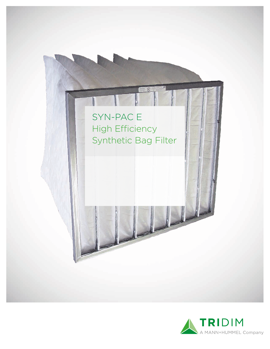

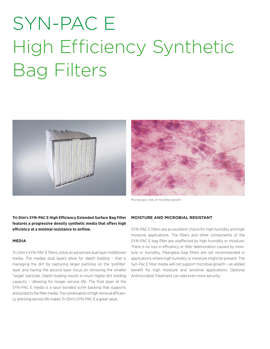# SYN-PAC E High Efficiency Synthetic Bag Filters





Microscopic view of microbial growth

**Tri-Dim's SYN-PAC E High Efficiency Extended Surface Bag Filter features a progressive density synthetic media that offers high efficiency at a minimal resistance to airflow.**

#### **MEDIA**

Tri-Dim's SYN-PAC E filters utilize an advanced dual layer meltblown media. The medias dual layers allow for depth loading – that is managing the dirt by capturing larger particles on the 'prefilter' layer and having the second layer focus on removing the smaller 'target' particles. Depth loading results in much higher dirt holding capacity – allowing for longer service life. The final layer of the SYN-PAC E media is a spun bonded scrim backing that supports and protects the filter media. The combination of high removal efficiency and long service life makes Tri-Dim's SYN-PAC E a great value.

### **MOISTURE AND MICROBIAL RESISTANT**

SYN-PAC E filters are an excellent choice for high humidity and high moisture applications. The fibers and other components of the SYN-PAC E bag filter are unaffected by high humidity or moisture. There is no loss in efficiency or filter deterioration caused by moisture or humidity. Fiberglass bag filters are not recommended in applications where high humidity or moisture might be present. The Syn-Pac E filter media will not support microbial growth – an added benefit for high moisture and sensitive applications. Optional Antimicrobial Treatment can add even more security.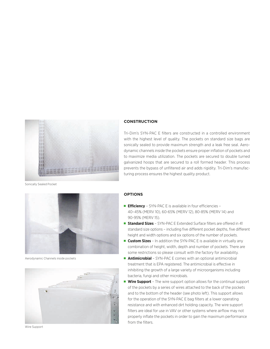

### **CONSTRUCTION**

Tri-Dim's SYN-PAC E filters are constructed in a controlled environment with the highest level of quality. The pockets on standard size bags are sonically sealed to provide maximum strength and a leak free seal. Aerodynamic channels inside the pockets ensure proper inflation of pockets and to maximize media utilization. The pockets are secured to double turned galvanized hoops that are secured to a roll formed header. This process prevents the bypass of unfiltered air and adds rigidity. Tri-Dim's manufacturing process ensures the highest quality product.

Sonically Sealed Pocket



Aerodynamic Channels inside pockets



Wire Support

#### **OPTIONS**

- **Efficiency** SYN-PAC E is available in four efficiencies 40–45% (MERV 10), 60-65% (MERV 12), 80-85% (MERV 14) and 90-95% (MERV 15).
- **Standard Sizes** SYN-PAC E Extended Surface filters are offered in 41 standard size options – including five different pocket depths, five different height and width options and six options of the number of pockets.
- **Custom Sizes** In addition the SYN-PAC E is available in virtually any combination of height, width, depth and number of pockets. There are some restrictions so please consult with the factory for availability.
- **Antimicrobial** SYN-PAC E comes with an optional antimicrobial treatment that is EPA registered. The antimicrobial is effective in inhibiting the growth of a large variety of microorganisms including bacteria, fungi and other microbials.
- **Wire Support** The wire support option allows for the continual support of the pockets by a series of wires attached to the back of the pockets and to the bottom of the header (see photo left). This support allows for the operation of the SYN-PAC E bag filters at a lower operating resistance and with enhanced dirt holding capacity. The wire support filters are ideal for use in VAV or other systems where airflow may not properly inflate the pockets in order to gain the maximum performance from the filters.